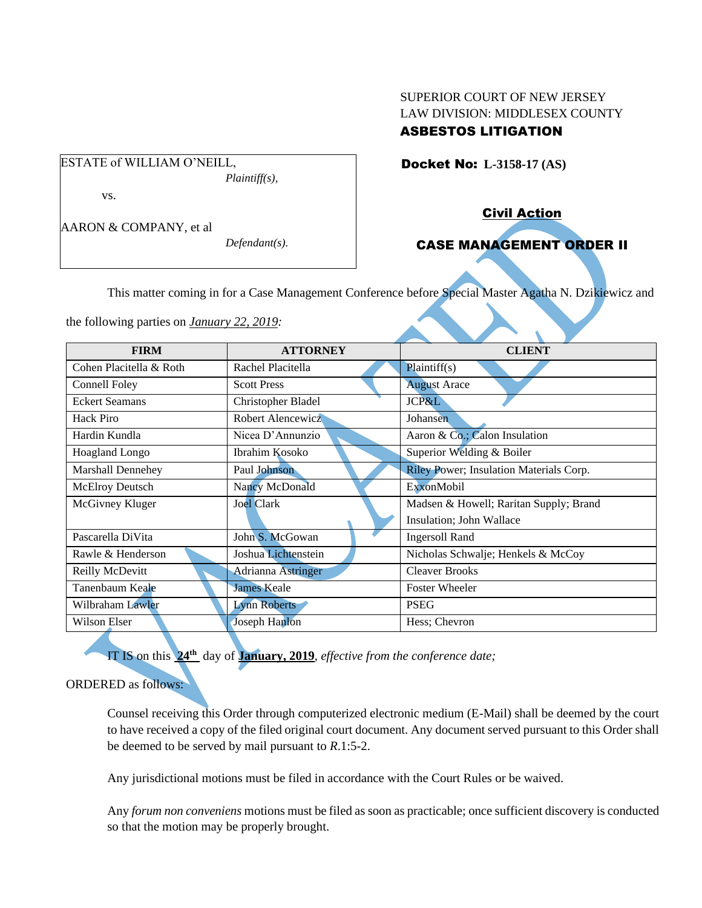# SUPERIOR COURT OF NEW JERSEY LAW DIVISION: MIDDLESEX COUNTY

## ASBESTOS LITIGATION

Docket No: **L-3158-17 (AS)** 

vs.

AARON & COMPANY, et al

ESTATE of WILLIAM O'NEILL,

*Defendant(s).*

*Plaintiff(s),*

Civil Action

## CASE MANAGEMENT ORDER II

This matter coming in for a Case Management Conference before Special Master Agatha N. Dzikiewicz and

the following parties on *January 22, 2019:*

| <b>FIRM</b>             | <b>ATTORNEY</b>           | <b>CLIENT</b>                           |
|-------------------------|---------------------------|-----------------------------------------|
| Cohen Placitella & Roth | Rachel Placitella         | Plaintiff(s)                            |
| Connell Foley           | <b>Scott Press</b>        | <b>August Arace</b>                     |
| <b>Eckert Seamans</b>   | Christopher Bladel        | JCP&L                                   |
| <b>Hack Piro</b>        | Robert Alencewicz         | Johansen                                |
| Hardin Kundla           | Nicea D'Annunzio          | Aaron & Co.; Calon Insulation           |
| Hoagland Longo          | Ibrahim Kosoko            | Superior Welding & Boiler               |
| Marshall Dennehey       | Paul Johnson              | Riley Power; Insulation Materials Corp. |
| <b>McElroy Deutsch</b>  | Nancy McDonald            | ExxonMobil                              |
| McGivney Kluger         | <b>Joel Clark</b>         | Madsen & Howell; Raritan Supply; Brand  |
|                         |                           | Insulation; John Wallace                |
| Pascarella DiVita       | John S. McGowan           | <b>Ingersoll Rand</b>                   |
| Rawle & Henderson       | Joshua Lichtenstein       | Nicholas Schwalje; Henkels & McCoy      |
| Reilly McDevitt         | <b>Adrianna Astringer</b> | <b>Cleaver Brooks</b>                   |
| Tanenbaum Keale         | <b>James Keale</b>        | <b>Foster Wheeler</b>                   |
| Wilbraham Lawler        | <b>Lynn Roberts</b>       | <b>PSEG</b>                             |
| Wilson Elser            | <b>Joseph Hanlon</b>      | Hess; Chevron                           |

IT IS on this **24 th** day of **January, 2019**, *effective from the conference date;*

## ORDERED as follows:

Counsel receiving this Order through computerized electronic medium (E-Mail) shall be deemed by the court to have received a copy of the filed original court document. Any document served pursuant to this Order shall be deemed to be served by mail pursuant to *R*.1:5-2.

Any jurisdictional motions must be filed in accordance with the Court Rules or be waived.

Any *forum non conveniens* motions must be filed as soon as practicable; once sufficient discovery is conducted so that the motion may be properly brought.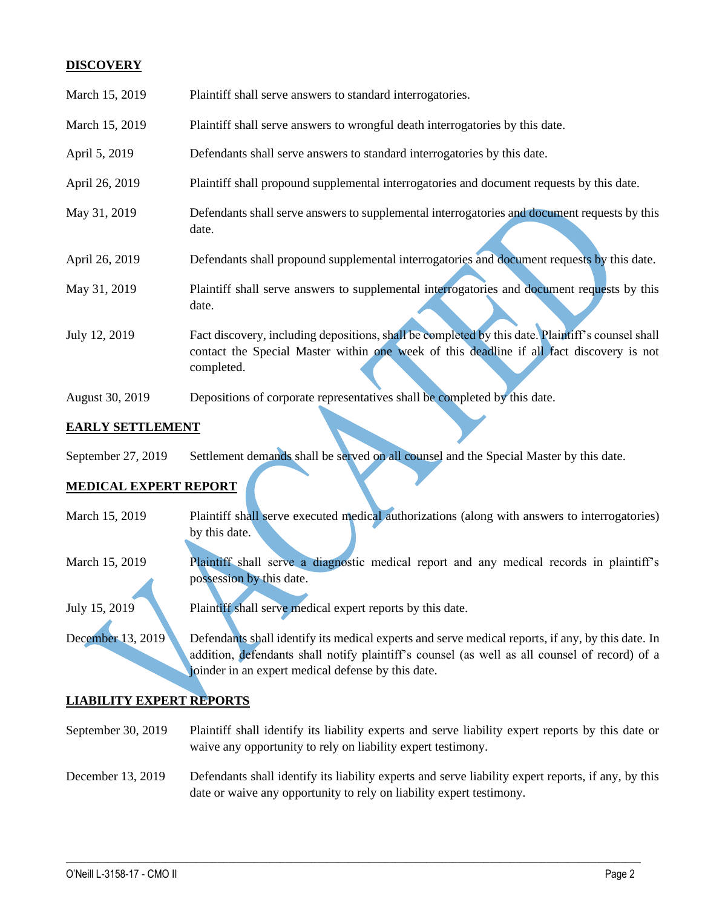### **DISCOVERY**

| March 15, 2019  | Plaintiff shall serve answers to standard interrogatories.                                                                                                                                                  |
|-----------------|-------------------------------------------------------------------------------------------------------------------------------------------------------------------------------------------------------------|
| March 15, 2019  | Plaintiff shall serve answers to wrongful death interrogatories by this date.                                                                                                                               |
| April 5, 2019   | Defendants shall serve answers to standard interrogatories by this date.                                                                                                                                    |
| April 26, 2019  | Plaintiff shall propound supplemental interrogatories and document requests by this date.                                                                                                                   |
| May 31, 2019    | Defendants shall serve answers to supplemental interrogatories and document requests by this<br>date.                                                                                                       |
| April 26, 2019  | Defendants shall propound supplemental interrogatories and document requests by this date.                                                                                                                  |
| May 31, 2019    | Plaintiff shall serve answers to supplemental interrogatories and document requests by this<br>date.                                                                                                        |
| July 12, 2019   | Fact discovery, including depositions, shall be completed by this date. Plaintiff's counsel shall<br>contact the Special Master within one week of this deadline if all fact discovery is not<br>completed. |
| August 30, 2019 | Depositions of corporate representatives shall be completed by this date.                                                                                                                                   |

### **EARLY SETTLEMENT**

| <b>EARLY SETTLEMENT</b>      |                 |                                                                                        |  |
|------------------------------|-----------------|----------------------------------------------------------------------------------------|--|
| September 27, 2019           |                 | Settlement demands shall be served on all counsel and the Special Master by this date. |  |
| <b>MEDICAL EXPERT REPORT</b> |                 |                                                                                        |  |
| $\mathbf{X}$<br>15.010       | $T1 \cdot T201$ |                                                                                        |  |

## **MEDICAL EXPERT REPORT**

| March 15, 2019    | Plaintiff shall serve executed medical authorizations (along with answers to interrogatories)     |
|-------------------|---------------------------------------------------------------------------------------------------|
|                   | by this date.                                                                                     |
|                   |                                                                                                   |
| March 15, 2019    | Plaintiff shall serve a diagnostic medical report and any medical records in plaintiff's          |
|                   | possession by this date.                                                                          |
|                   |                                                                                                   |
| July 15, 2019     | Plaintiff shall serve medical expert reports by this date.                                        |
|                   |                                                                                                   |
| December 13, 2019 | Defendants shall identify its medical experts and serve medical reports, if any, by this date. In |
|                   | addition, defendants shall notify plaintiff's counsel (as well as all counsel of record) of a     |
|                   | joinder in an expert medical defense by this date.                                                |
|                   |                                                                                                   |

## **LIABILITY EXPERT REPORTS**

September 30, 2019 Plaintiff shall identify its liability experts and serve liability expert reports by this date or waive any opportunity to rely on liability expert testimony.

## December 13, 2019 Defendants shall identify its liability experts and serve liability expert reports, if any, by this date or waive any opportunity to rely on liability expert testimony.

 $\_$  , and the set of the set of the set of the set of the set of the set of the set of the set of the set of the set of the set of the set of the set of the set of the set of the set of the set of the set of the set of th